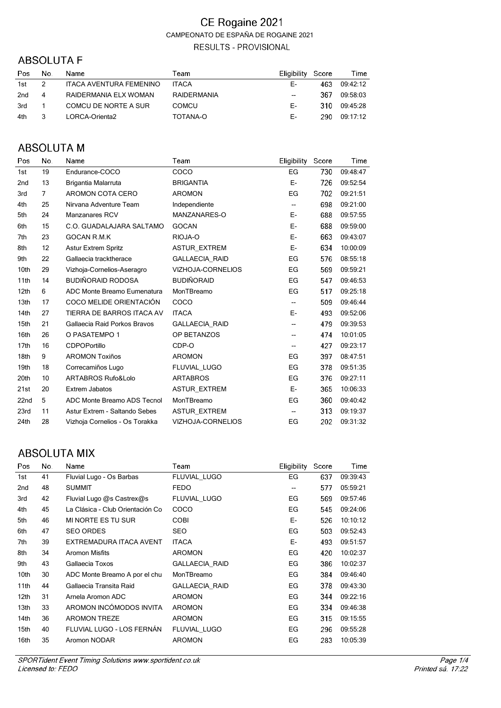### **ABSOLUTA F**

| Pos | No. | <b>Name</b>                    | Team         | Eligibility | Score | Time     |
|-----|-----|--------------------------------|--------------|-------------|-------|----------|
| 1st |     | <b>ITACA AVENTURA FEMENINO</b> | <b>ITACA</b> | F-          | 463   | 09.42.12 |
| 2nd | 4   | RAIDERMANIA ELX WOMAN          | RAIDERMANIA  | $-$         | 367   | 09:58:03 |
| 3rd |     | COMCU DE NORTE A SUR           | <b>COMCU</b> | F-          | 310.  | 09:45:28 |
| 4th |     | LORCA-Orienta2                 | TOTANA-O     | F-          | 290.  | 09:17:12 |

## **ABSOLUTA M**

| Pos              | No.            | Name                           | Team                     | Eligibility              | Score | Time     |
|------------------|----------------|--------------------------------|--------------------------|--------------------------|-------|----------|
| 1st              | 19             | Endurance-COCO                 | COCO                     | EG                       | 730   | 09:48:47 |
| 2 <sub>nd</sub>  | 13             | Brigantia Malarruta            | <b>BRIGANTIA</b>         | E-                       | 726   | 09:52:54 |
| 3rd              | $\overline{7}$ | <b>AROMON COTA CERO</b>        | <b>AROMON</b>            | EG                       | 702   | 09:21:51 |
| 4th              | 25             | Nirvana Adventure Team         | Independiente            | $\overline{\phantom{a}}$ | 698   | 09:21:00 |
| 5th              | 24             | <b>Manzanares RCV</b>          | MANZANARES-O             | Е-                       | 688   | 09:57:55 |
| 6th              | 15             | C.O. GUADALAJARA SALTAMO       | <b>GOCAN</b>             | E-                       | 688   | 09:59:00 |
| 7th              | 23             | GOCAN R.M.K                    | RIOJA-O                  | E-                       | 663   | 09:43:07 |
| 8th              | 12             | <b>Astur Extrem Spritz</b>     | <b>ASTUR EXTREM</b>      | E-                       | 634   | 10:00:09 |
| 9th              | 22             | Gallaecia tracktherace         | GALLAECIA_RAID           | EG                       | 576   | 08:55:18 |
| 10th             | 29             | Vizhoja-Cornelios-Aseragro     | VIZHOJA-CORNELIOS        | EG                       | 569   | 09:59:21 |
| 11th             | 14             | <b>BUDIÑORAID RODOSA</b>       | <b>BUDIÑORAID</b>        | EG                       | 547   | 09:46:53 |
| 12 <sub>th</sub> | 6              | ADC Monte Breamo Eumenatura    | MonTBreamo               | EG                       | 517   | 09:25:18 |
| 13th             | 17             | COCO MELIDE ORIENTACIÓN        | COCO                     | --                       | 509   | 09:46:44 |
| 14th             | 27             | TIERRA DE BARROS ITACA AV      | <b>ITACA</b>             | E-                       | 493   | 09:52:06 |
| 15th             | 21             | Gallaecia Raid Porkos Bravos   | <b>GALLAECIA RAID</b>    | --                       | 479   | 09:39:53 |
| 16th             | 26             | O PASATEMPO 1                  | OP BETANZOS              | --                       | 474   | 10:01:05 |
| 17 <sub>th</sub> | 16             | <b>CDPOPortillo</b>            | CDP-O                    | --                       | 427   | 09:23:17 |
| 18th             | 9              | <b>AROMON Toxiños</b>          | <b>AROMON</b>            | EG                       | 397   | 08:47:51 |
| 19th             | 18             | Correcamiños Lugo              | FLUVIAL LUGO             | EG                       | 378   | 09:51:35 |
| 20th             | 10             | ARTABROS Rufo&Lolo             | <b>ARTABROS</b>          | EG                       | 376   | 09:27:11 |
| 21st             | 20             | Extrem Jabatos                 | <b>ASTUR EXTREM</b>      | E-                       | 365   | 10:06:33 |
| 22nd             | 5              | ADC Monte Breamo ADS Tecnol    | MonTBreamo               | EG                       | 360   | 09:40:42 |
| 23rd             | 11             | Astur Extrem - Saltando Sebes  | <b>ASTUR EXTREM</b>      | --                       | 313   | 09:19:37 |
| 24th             | 28             | Vizhoja Cornelios - Os Torakka | <b>VIZHOJA-CORNELIOS</b> | EG                       | 202   | 09:31:32 |

# **ABSOLUTA MIX**

| Pos              | No. | Name                             | Team                  | <b>Eligibility</b> | Score | Time     |
|------------------|-----|----------------------------------|-----------------------|--------------------|-------|----------|
| 1st              | 41  | Fluvial Lugo - Os Barbas         | FLUVIAL LUGO          | EG                 | 637   | 09:39:43 |
| 2nd              | 48  | <b>SUMMIT</b>                    | <b>FEDO</b>           | --                 | 577   | 05:59:21 |
| 3rd              | 42  | Fluvial Lugo @s Castrex@s        | FLUVIAL LUGO          | EG                 | 569   | 09:57:46 |
| 4th              | 45  | La Clásica - Club Orientación Co | COCO                  | EG                 | 545   | 09:24:06 |
| 5th              | 46  | MI NORTE ES TU SUR               | <b>COBI</b>           | E-                 | 526   | 10:10:12 |
| 6th              | 47  | <b>SEO ORDES</b>                 | <b>SEO</b>            | EG                 | 503   | 09:52:43 |
| 7th              | 39  | EXTREMADURA ITACA AVENT          | <b>ITACA</b>          | E-                 | 493   | 09:51:57 |
| 8th              | 34  | <b>Aromon Misfits</b>            | <b>AROMON</b>         | EG                 | 420   | 10:02:37 |
| 9th              | 43  | Gallaecia Toxos                  | <b>GALLAECIA RAID</b> | EG                 | 386   | 10:02:37 |
| 10th             | 30  | ADC Monte Breamo A por el chu    | MonTBreamo            | EG                 | 384   | 09:46:40 |
| 11th             | 44  | Gallaecia Transita Raid          | <b>GALLAECIA RAID</b> | EG                 | 378   | 09:43:30 |
| 12 <sub>th</sub> | 31  | Arnela Aromon ADC                | <b>AROMON</b>         | EG                 | 344   | 09:22:16 |
| 13th             | 33  | AROMON INCÓMODOS INVITA          | <b>AROMON</b>         | EG                 | 334   | 09:46:38 |
| 14th             | 36  | <b>AROMON TREZE</b>              | <b>AROMON</b>         | EG                 | 315   | 09:15:55 |
| 15th             | 40  | FLUVIAL LUGO - LOS FERNÁN        | FLUVIAL LUGO          | EG                 | 296   | 09:55:28 |
| 16th             | 35  | Aromon NODAR                     | <b>AROMON</b>         | EG                 | 283   | 10:05:39 |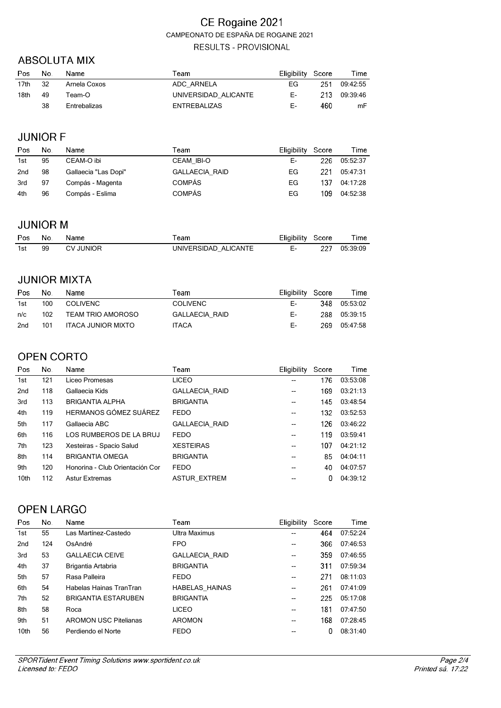#### **ABSOLUTA MIX**

| Pos              | No. | Name         | Геаm                 | Eligibility Score |     | Time     |
|------------------|-----|--------------|----------------------|-------------------|-----|----------|
| 17 <sub>th</sub> | 32  | Arnela Coxos | ADC ARNELA           | EG                | 251 | 09:42:55 |
| 18th             | 49  | Team-O       | UNIVERSIDAD ALICANTE | Е-                | 213 | 09:39:46 |
|                  | 38  | Entrebalizas | <b>ENTREBALIZAS</b>  | Е-                | 460 | mF       |

## **JUNIOR F**

| Pos             | No. | Name                 | Team                  | Eligibility Score |     | Time     |
|-----------------|-----|----------------------|-----------------------|-------------------|-----|----------|
| 1st             | 95  | CEAM-O ibi           | <b>CEAM IBI-O</b>     | Е-                | 226 | 05:52:37 |
| 2 <sub>nd</sub> | 98  | Gallaecia "Las Dopi" | <b>GALLAECIA RAID</b> | EG                | 221 | 05:47:31 |
| 3rd             | 97  | Compás - Magenta     | <b>COMPÁS</b>         | EG                | 137 | 04:17:28 |
| 4th             | 96  | Compás - Eslima      | <b>COMPÁS</b>         | EG                | 109 | 04:52:38 |

#### **JUNIOR M**

| Pos | No. | <b>Name</b>      | ™eam                 | Eligibility Score |     | Time     |
|-----|-----|------------------|----------------------|-------------------|-----|----------|
| 1st | 99  | <b>CV JUNIOR</b> | UNIVERSIDAD ALICANTE |                   | 227 | 05:39:09 |

#### **JUNIOR MIXTA**

| Pos | No. | Name                     | Team            | Eligibility Score |      | Time     |
|-----|-----|--------------------------|-----------------|-------------------|------|----------|
| 1st | 100 | <b>COLIVENC</b>          | <b>COLIVENC</b> | F-                | 348. | 05:53:02 |
| n/c | 102 | <b>TEAM TRIO AMOROSO</b> | GALLAECIA RAID  | F-                | 288. | 05:39:15 |
| 2nd | 101 | ITACA JUNIOR MIXTO       | <b>ITACA</b>    | F-                | 269. | 05:47:58 |

### **OPEN CORTO**

| Pos              | No. | Name                            | Team                  | <b>Eligibility</b>       | Score | Time     |
|------------------|-----|---------------------------------|-----------------------|--------------------------|-------|----------|
| 1st              | 121 | Liceo Promesas                  | <b>LICEO</b>          |                          | 176   | 03:53:08 |
| 2 <sub>nd</sub>  | 118 | Gallaecia Kids                  | <b>GALLAECIA RAID</b> | $\overline{\phantom{a}}$ | 169   | 03:21:13 |
| 3rd              | 113 | <b>BRIGANTIA ALPHA</b>          | <b>BRIGANTIA</b>      | $\overline{\phantom{a}}$ | 145   | 03:48:54 |
| 4th              | 119 | HERMANOS GÓMEZ SUÁREZ           | <b>FEDO</b>           | --                       | 132   | 03:52:53 |
| 5th              | 117 | Gallaecia ABC                   | <b>GALLAECIA RAID</b> | $- -$                    | 126   | 03:46:22 |
| 6th              | 116 | LOS RUMBEROS DE LA BRUJ         | <b>FEDO</b>           | --                       | 119   | 03:59:41 |
| 7th              | 123 | Xesteiras - Spacio Salud        | <b>XESTEIRAS</b>      | $- -$                    | 107   | 04:21:12 |
| 8th              | 114 | <b>BRIGANTIA OMEGA</b>          | <b>BRIGANTIA</b>      | $- -$                    | 85    | 04:04:11 |
| 9th              | 120 | Honorina - Club Orientación Cor | <b>FEDO</b>           | $-$                      | 40    | 04:07:57 |
| 10 <sub>th</sub> | 112 | <b>Astur Extremas</b>           | <b>ASTUR EXTREM</b>   | $- -$                    | 0     | 04:39:12 |
|                  |     |                                 |                       |                          |       |          |

## **OPEN LARGO**

| Pos              | No. | Name                         | Team                  | Eligibility | Score | Time     |
|------------------|-----|------------------------------|-----------------------|-------------|-------|----------|
| 1st              | 55  | Las Martínez-Castedo         | Ultra Maximus         | --          | 464   | 07:52:24 |
| 2 <sub>nd</sub>  | 124 | OsAndré                      | <b>FPO</b>            | --          | 366   | 07:46:53 |
| 3rd              | 53  | <b>GALLAECIA CEIVE</b>       | <b>GALLAECIA RAID</b> | --          | 359   | 07:46:55 |
| 4th              | 37  | Brigantia Artabria           | <b>BRIGANTIA</b>      | --          | 311   | 07:59:34 |
| 5th              | 57  | Rasa Palleira                | <b>FEDO</b>           | $- -$       | 271   | 08:11:03 |
| 6th              | 54  | Habelas Hainas TranTran      | <b>HABELAS HAINAS</b> | $- -$       | 261   | 07:41:09 |
| 7th              | 52  | <b>BRIGANTIA ESTARUBEN</b>   | <b>BRIGANTIA</b>      | $- -$       | 225   | 05:17:08 |
| 8th              | 58  | Roca                         | <b>LICEO</b>          | $- -$       | 181   | 07:47:50 |
| 9th              | 51  | <b>AROMON USC Pitelianas</b> | <b>AROMON</b>         | --          | 168   | 07:28:45 |
| 10 <sub>th</sub> | 56  | Perdiendo el Norte           | <b>FEDO</b>           | --          | 0     | 08:31:40 |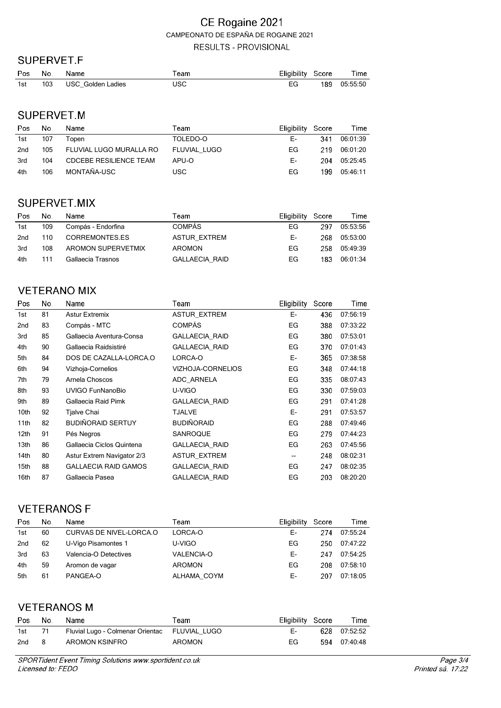#### SUPERVET.F

| <b>Pos</b> | No. | Name              | eam  | Eligibility Score |     | Time     |
|------------|-----|-------------------|------|-------------------|-----|----------|
| 1st        | 103 | USC Golden Ladies | IJSC | EG                | 189 | 05:55:50 |

### SUPERVET.M

| Pos | No. | Name                          | Team         | Eligibility Score |      | Time     |
|-----|-----|-------------------------------|--------------|-------------------|------|----------|
| 1st | 107 | Topen                         | TOLEDO-O     | F-                | 341  | 06:01:39 |
| 2nd | 105 | FLUVIAL LUGO MURALLA RO       | FLUVIAL LUGO | EG.               | 219. | 06:01:20 |
| 3rd | 104 | <b>CDCEBE RESILIENCE TEAM</b> | APU-O        | F-                | 204. | 05:25:45 |
| 4th | 106 | MONTAÑA-USC                   | USC          | EG                | 199  | 05:46:11 |

# SUPERVET.MIX

| Pos | No. | Name               | Team                  | Eligibility | Score | Time     |
|-----|-----|--------------------|-----------------------|-------------|-------|----------|
| 1st | 109 | Compás - Endorfina | <b>COMPÁS</b>         | EG.         | 297   | 05:53:56 |
| 2nd | 110 | CORREMONTES.ES     | <b>ASTUR EXTREM</b>   | F-          | 268.  | 05:53:00 |
| 3rd | 108 | AROMON SUPERVETMIX | <b>AROMON</b>         | EG.         | 258   | 05:49:39 |
| 4th | 111 | Gallaecia Trasnos  | <b>GALLAECIA RAID</b> | EG          | 183   | 06:01:34 |

### **VETERANO MIX**

| Pos              | No. | Name                        | Team                  | Eligibility | Score | Time     |
|------------------|-----|-----------------------------|-----------------------|-------------|-------|----------|
| 1st              | 81  | <b>Astur Extremix</b>       | <b>ASTUR EXTREM</b>   | Е-          | 436   | 07:56:19 |
| 2nd              | 83  | Compás - MTC                | <b>COMPÁS</b>         | EG          | 388   | 07:33:22 |
| 3rd              | 85  | Gallaecia Aventura-Consa    | GALLAECIA_RAID        | EG          | 380   | 07:53:01 |
| 4th              | 90  | Gallaecia Raidsistiré       | GALLAECIA_RAID        | EG          | 370   | 07:01:43 |
| 5th              | 84  | DOS DE CAZALLA-LORCA.O      | LORCA-O               | Е-          | 365   | 07:38:58 |
| 6th              | 94  | Vizhoja-Cornelios           | VIZHOJA-CORNELIOS     | EG          | 348   | 07:44:18 |
| 7th              | 79  | Arnela Choscos              | ADC ARNELA            | EG          | 335   | 08:07:43 |
| 8th              | 93  | UVIGO FunNanoBio            | U-VIGO                | EG          | 330   | 07:59:03 |
| 9th              | 89  | Gallaecia Raid Pimk         | <b>GALLAECIA RAID</b> | EG          | 291   | 07:41:28 |
| 10th             | 92  | Tjalve Chai                 | TJALVE                | E-          | 291   | 07:53:57 |
| 11th             | 82  | <b>BUDIÑORAID SERTUY</b>    | <b>BUDIÑORAID</b>     | EG          | 288   | 07:49:46 |
| 12 <sub>th</sub> | 91  | Pés Negros                  | SANROQUE              | EG          | 279   | 07:44:23 |
| 13th             | 86  | Gallaecia Ciclos Quintena   | <b>GALLAECIA RAID</b> | EG          | 263   | 07:45:56 |
| 14th             | 80  | Astur Extrem Navigator 2/3  | ASTUR_EXTREM          | --          | 248   | 08:02:31 |
| 15th             | 88  | <b>GALLAECIA RAID GAMOS</b> | <b>GALLAECIA RAID</b> | EG          | 247   | 08:02:35 |
| 16th             | 87  | Gallaecia Pasea             | <b>GALLAECIA RAID</b> | EG          | 203   | 08:20:20 |

### **VETERANOS F**

| Pos             | No. | Name                    | Team              | <b>Eligibility</b> | Score | Time     |
|-----------------|-----|-------------------------|-------------------|--------------------|-------|----------|
| 1st             | 60  | CURVAS DE NIVEL-LORCA.O | LORCA-O           | Е-                 | 274   | 07:55:24 |
| 2 <sub>nd</sub> | 62  | U-Vigo Pisamontes 1     | U-VIGO            | EG                 | 250   | 07:47:22 |
| 3rd             | 63  | Valencia-O Detectives   | <b>VALENCIA-O</b> | Е-                 | 247   | 07:54:25 |
| 4th             | 59  | Aromon de vagar         | <b>AROMON</b>     | EG                 | 208   | 07:58:10 |
| 5th             | 61  | PANGEA-O                | ALHAMA COYM       | Е-                 | 207   | 07:18:05 |

# **VETERANOS M**

| Pos | No. | Name                                          | Team   | Eligibility Score | Time         |
|-----|-----|-----------------------------------------------|--------|-------------------|--------------|
| 1st |     | Fluvial Lugo - Colmenar Orientac FLUVIAL LUGO |        | Е-                | 628 07:52:52 |
| 2nd |     | AROMON KSINFRO                                | AROMON | FG.               | 594 07:40:48 |